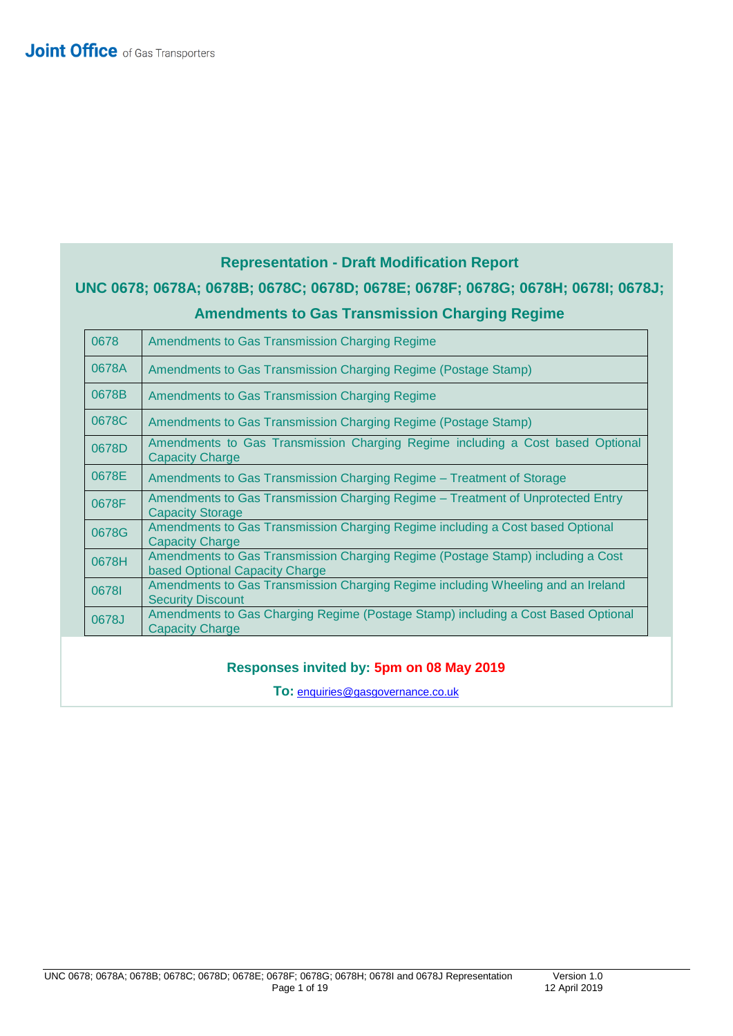# **Representation - Draft Modification Report UNC 0678; 0678A; 0678B; 0678C; 0678D; 0678E; 0678F; 0678G; 0678H; 0678I; 0678J; Amendments to Gas Transmission Charging Regime**

| 0678  | Amendments to Gas Transmission Charging Regime                                                                    |
|-------|-------------------------------------------------------------------------------------------------------------------|
| 0678A | Amendments to Gas Transmission Charging Regime (Postage Stamp)                                                    |
| 0678B | Amendments to Gas Transmission Charging Regime                                                                    |
| 0678C | Amendments to Gas Transmission Charging Regime (Postage Stamp)                                                    |
| 0678D | Amendments to Gas Transmission Charging Regime including a Cost based Optional<br><b>Capacity Charge</b>          |
| 0678E | Amendments to Gas Transmission Charging Regime - Treatment of Storage                                             |
| 0678F | Amendments to Gas Transmission Charging Regime – Treatment of Unprotected Entry<br><b>Capacity Storage</b>        |
| 0678G | Amendments to Gas Transmission Charging Regime including a Cost based Optional<br><b>Capacity Charge</b>          |
| 0678H | Amendments to Gas Transmission Charging Regime (Postage Stamp) including a Cost<br>based Optional Capacity Charge |
| 06781 | Amendments to Gas Transmission Charging Regime including Wheeling and an Ireland<br><b>Security Discount</b>      |
| 0678J | Amendments to Gas Charging Regime (Postage Stamp) including a Cost Based Optional<br><b>Capacity Charge</b>       |

### **Responses invited by: 5pm on 08 May 2019**

**To:** [enquiries@gasgovernance.co.uk](mailto:enquiries@gasgovernance.co.uk)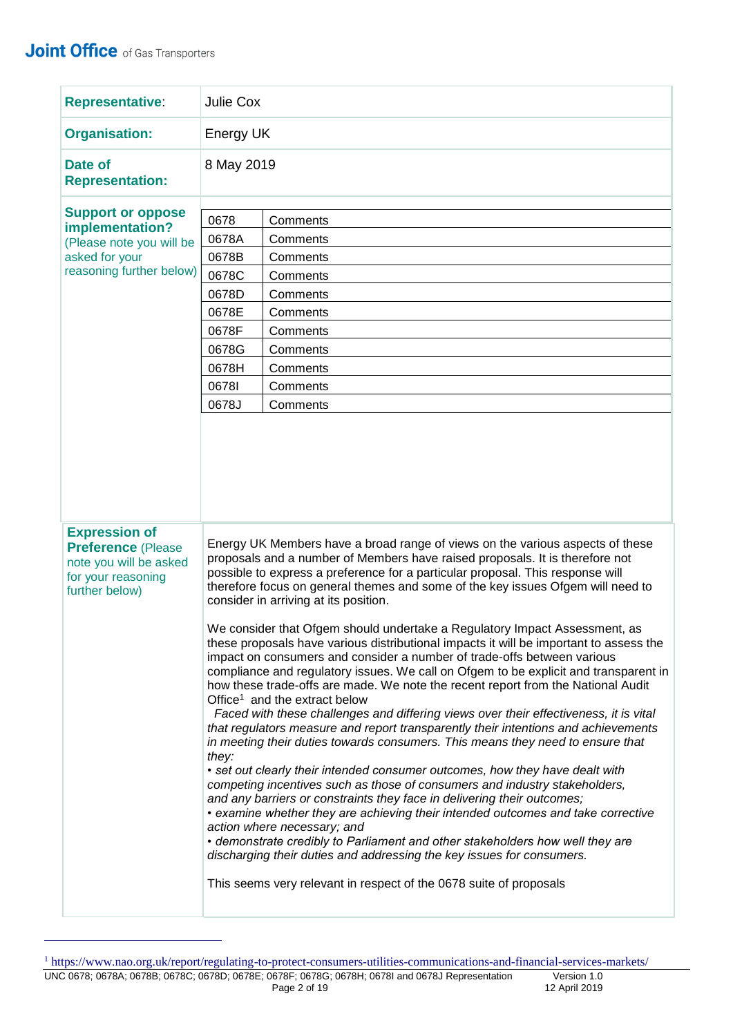| <b>Representative:</b>                                                                                                                                                                                   | Julie Cox                                                                                      |                                                                                                                                                                                                                                                                                                                                                                                                                                                                                                                                                                                                                                                                                                                                                                                                                                                                                                                                                                                                                                                                                                                                                                                                                                                                                                                                                                                                                                                                                                                                                                                                                                          |  |  |  |
|----------------------------------------------------------------------------------------------------------------------------------------------------------------------------------------------------------|------------------------------------------------------------------------------------------------|------------------------------------------------------------------------------------------------------------------------------------------------------------------------------------------------------------------------------------------------------------------------------------------------------------------------------------------------------------------------------------------------------------------------------------------------------------------------------------------------------------------------------------------------------------------------------------------------------------------------------------------------------------------------------------------------------------------------------------------------------------------------------------------------------------------------------------------------------------------------------------------------------------------------------------------------------------------------------------------------------------------------------------------------------------------------------------------------------------------------------------------------------------------------------------------------------------------------------------------------------------------------------------------------------------------------------------------------------------------------------------------------------------------------------------------------------------------------------------------------------------------------------------------------------------------------------------------------------------------------------------------|--|--|--|
| <b>Organisation:</b>                                                                                                                                                                                     | Energy UK                                                                                      |                                                                                                                                                                                                                                                                                                                                                                                                                                                                                                                                                                                                                                                                                                                                                                                                                                                                                                                                                                                                                                                                                                                                                                                                                                                                                                                                                                                                                                                                                                                                                                                                                                          |  |  |  |
| Date of<br><b>Representation:</b>                                                                                                                                                                        | 8 May 2019                                                                                     |                                                                                                                                                                                                                                                                                                                                                                                                                                                                                                                                                                                                                                                                                                                                                                                                                                                                                                                                                                                                                                                                                                                                                                                                                                                                                                                                                                                                                                                                                                                                                                                                                                          |  |  |  |
| <b>Support or oppose</b><br>implementation?<br>(Please note you will be<br>asked for your<br>reasoning further below)                                                                                    | 0678<br>0678A<br>0678B<br>0678C<br>0678D<br>0678E<br>0678F<br>0678G<br>0678H<br>06781<br>0678J | Comments<br>Comments<br>Comments<br>Comments<br>Comments<br>Comments<br>Comments<br>Comments<br>Comments<br>Comments<br>Comments                                                                                                                                                                                                                                                                                                                                                                                                                                                                                                                                                                                                                                                                                                                                                                                                                                                                                                                                                                                                                                                                                                                                                                                                                                                                                                                                                                                                                                                                                                         |  |  |  |
| <b>Expression of</b><br><b>Preference (Please</b><br>note you will be asked<br>for your reasoning<br>further below)<br>Office <sup>1</sup> and the extract below<br>they:<br>action where necessary; and |                                                                                                | Energy UK Members have a broad range of views on the various aspects of these<br>proposals and a number of Members have raised proposals. It is therefore not<br>possible to express a preference for a particular proposal. This response will<br>therefore focus on general themes and some of the key issues Ofgem will need to<br>consider in arriving at its position.<br>We consider that Ofgem should undertake a Regulatory Impact Assessment, as<br>these proposals have various distributional impacts it will be important to assess the<br>impact on consumers and consider a number of trade-offs between various<br>compliance and regulatory issues. We call on Ofgem to be explicit and transparent in<br>how these trade-offs are made. We note the recent report from the National Audit<br>Faced with these challenges and differing views over their effectiveness, it is vital<br>that regulators measure and report transparently their intentions and achievements<br>in meeting their duties towards consumers. This means they need to ensure that<br>• set out clearly their intended consumer outcomes, how they have dealt with<br>competing incentives such as those of consumers and industry stakeholders,<br>and any barriers or constraints they face in delivering their outcomes;<br>• examine whether they are achieving their intended outcomes and take corrective<br>• demonstrate credibly to Parliament and other stakeholders how well they are<br>discharging their duties and addressing the key issues for consumers.<br>This seems very relevant in respect of the 0678 suite of proposals |  |  |  |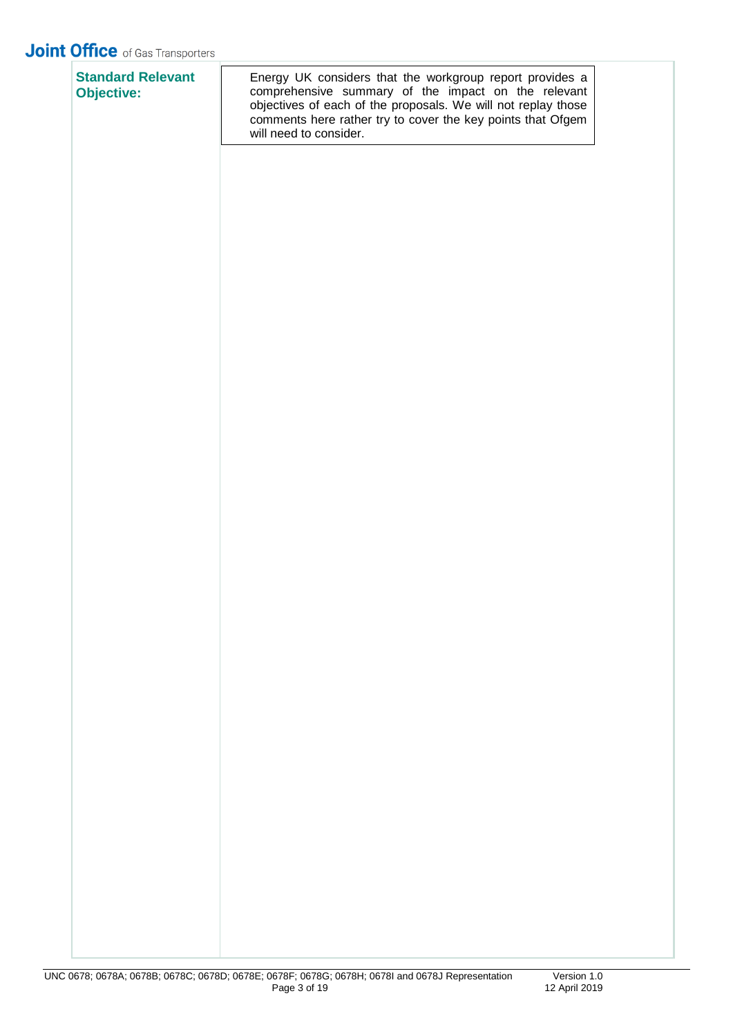| <b>Standard Relevant</b><br><b>Objective:</b> | Energy UK considers that the workgroup report provides a<br>comprehensive summary of the impact on the relevant<br>objectives of each of the proposals. We will not replay those<br>comments here rather try to cover the key points that Ofgem<br>will need to consider. |
|-----------------------------------------------|---------------------------------------------------------------------------------------------------------------------------------------------------------------------------------------------------------------------------------------------------------------------------|
|                                               |                                                                                                                                                                                                                                                                           |
|                                               |                                                                                                                                                                                                                                                                           |
|                                               |                                                                                                                                                                                                                                                                           |
|                                               |                                                                                                                                                                                                                                                                           |
|                                               |                                                                                                                                                                                                                                                                           |
|                                               |                                                                                                                                                                                                                                                                           |
|                                               |                                                                                                                                                                                                                                                                           |
|                                               |                                                                                                                                                                                                                                                                           |
|                                               |                                                                                                                                                                                                                                                                           |
|                                               |                                                                                                                                                                                                                                                                           |
|                                               |                                                                                                                                                                                                                                                                           |
|                                               |                                                                                                                                                                                                                                                                           |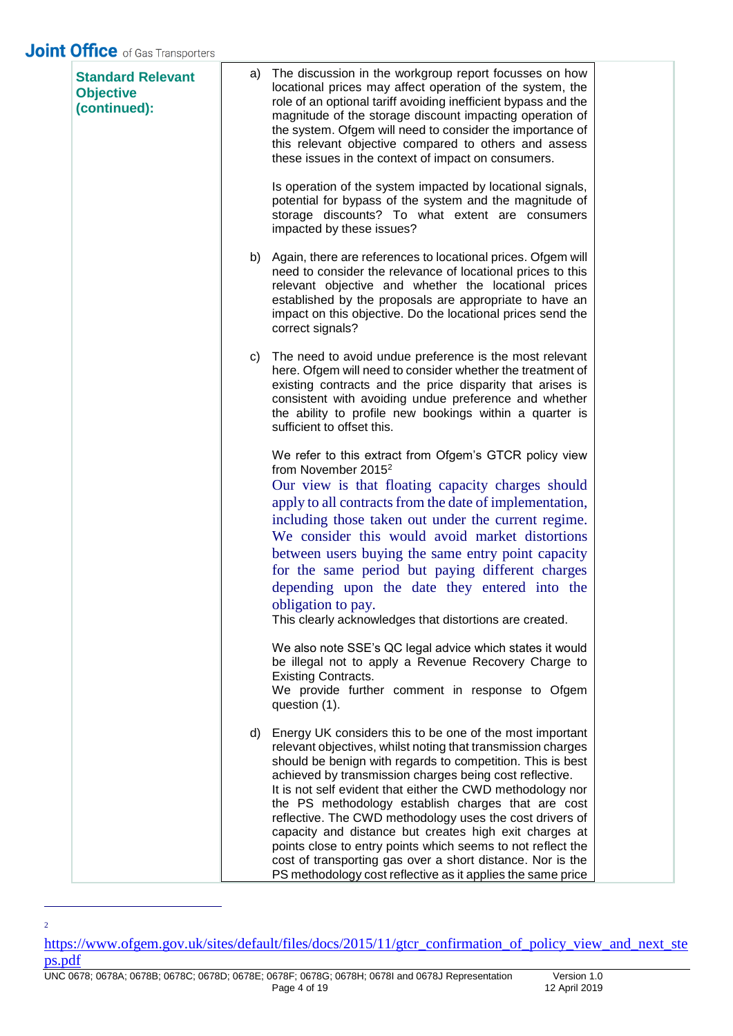| <b>Standard Relevant</b><br><b>Objective</b><br>(continued): | a) | The discussion in the workgroup report focusses on how<br>locational prices may affect operation of the system, the<br>role of an optional tariff avoiding inefficient bypass and the<br>magnitude of the storage discount impacting operation of<br>the system. Ofgem will need to consider the importance of<br>this relevant objective compared to others and assess<br>these issues in the context of impact on consumers.                                                                                                                                                                                                                                                          |  |
|--------------------------------------------------------------|----|-----------------------------------------------------------------------------------------------------------------------------------------------------------------------------------------------------------------------------------------------------------------------------------------------------------------------------------------------------------------------------------------------------------------------------------------------------------------------------------------------------------------------------------------------------------------------------------------------------------------------------------------------------------------------------------------|--|
|                                                              |    | Is operation of the system impacted by locational signals,<br>potential for bypass of the system and the magnitude of<br>storage discounts? To what extent are consumers<br>impacted by these issues?                                                                                                                                                                                                                                                                                                                                                                                                                                                                                   |  |
|                                                              | b) | Again, there are references to locational prices. Ofgem will<br>need to consider the relevance of locational prices to this<br>relevant objective and whether the locational prices<br>established by the proposals are appropriate to have an<br>impact on this objective. Do the locational prices send the<br>correct signals?                                                                                                                                                                                                                                                                                                                                                       |  |
|                                                              | C) | The need to avoid undue preference is the most relevant<br>here. Ofgem will need to consider whether the treatment of<br>existing contracts and the price disparity that arises is<br>consistent with avoiding undue preference and whether<br>the ability to profile new bookings within a quarter is<br>sufficient to offset this.                                                                                                                                                                                                                                                                                                                                                    |  |
|                                                              |    | We refer to this extract from Ofgem's GTCR policy view<br>from November 2015 <sup>2</sup><br>Our view is that floating capacity charges should<br>apply to all contracts from the date of implementation,<br>including those taken out under the current regime.<br>We consider this would avoid market distortions<br>between users buying the same entry point capacity<br>for the same period but paying different charges<br>depending upon the date they entered into the<br>obligation to pay.<br>This clearly acknowledges that distortions are created.                                                                                                                         |  |
|                                                              |    | We also note SSE's QC legal advice which states it would<br>be illegal not to apply a Revenue Recovery Charge to<br><b>Existing Contracts.</b><br>We provide further comment in response to Ofgem<br>question (1).                                                                                                                                                                                                                                                                                                                                                                                                                                                                      |  |
|                                                              | d) | Energy UK considers this to be one of the most important<br>relevant objectives, whilst noting that transmission charges<br>should be benign with regards to competition. This is best<br>achieved by transmission charges being cost reflective.<br>It is not self evident that either the CWD methodology nor<br>the PS methodology establish charges that are cost<br>reflective. The CWD methodology uses the cost drivers of<br>capacity and distance but creates high exit charges at<br>points close to entry points which seems to not reflect the<br>cost of transporting gas over a short distance. Nor is the<br>PS methodology cost reflective as it applies the same price |  |

[https://www.ofgem.gov.uk/sites/default/files/docs/2015/11/gtcr\\_confirmation\\_of\\_policy\\_view\\_and\\_next\\_ste](https://www.ofgem.gov.uk/sites/default/files/docs/2015/11/gtcr_confirmation_of_policy_view_and_next_steps.pdf) [ps.pdf](https://www.ofgem.gov.uk/sites/default/files/docs/2015/11/gtcr_confirmation_of_policy_view_and_next_steps.pdf)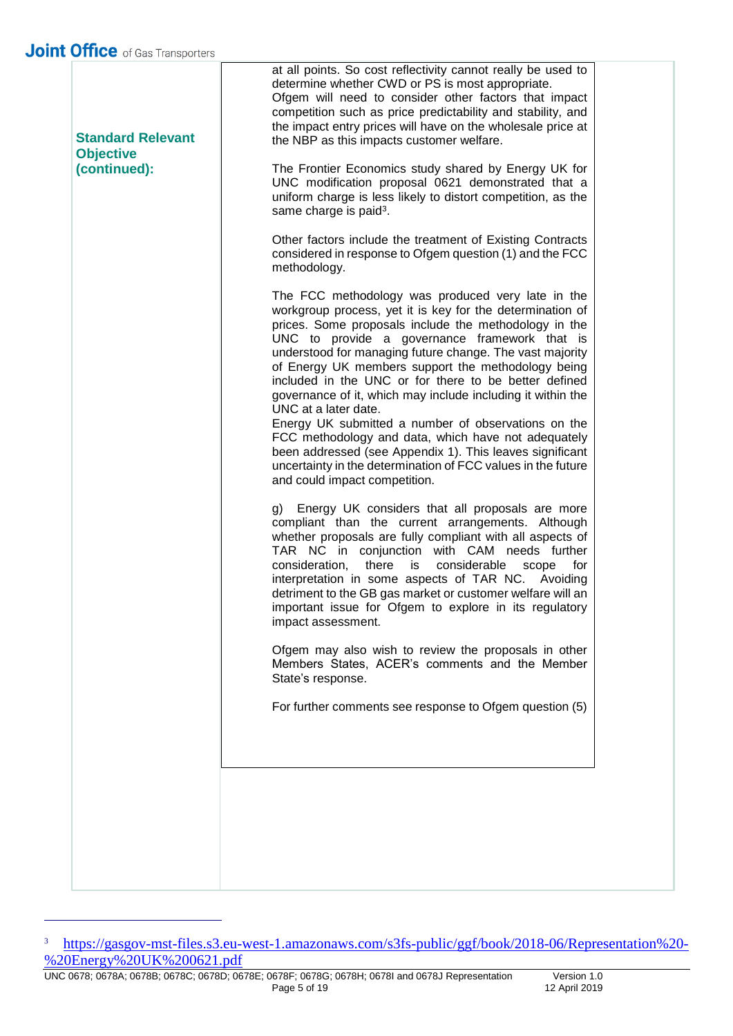| <b>Standard Relevant</b><br><b>Objective</b> | at all points. So cost reflectivity cannot really be used to<br>determine whether CWD or PS is most appropriate.<br>Ofgem will need to consider other factors that impact<br>competition such as price predictability and stability, and<br>the impact entry prices will have on the wholesale price at<br>the NBP as this impacts customer welfare.                                                                                                                                                                                                                                                                                                                                                                                                                  |
|----------------------------------------------|-----------------------------------------------------------------------------------------------------------------------------------------------------------------------------------------------------------------------------------------------------------------------------------------------------------------------------------------------------------------------------------------------------------------------------------------------------------------------------------------------------------------------------------------------------------------------------------------------------------------------------------------------------------------------------------------------------------------------------------------------------------------------|
| (continued):                                 | The Frontier Economics study shared by Energy UK for<br>UNC modification proposal 0621 demonstrated that a<br>uniform charge is less likely to distort competition, as the<br>same charge is paid <sup>3</sup> .                                                                                                                                                                                                                                                                                                                                                                                                                                                                                                                                                      |
|                                              | Other factors include the treatment of Existing Contracts<br>considered in response to Ofgem question (1) and the FCC<br>methodology.                                                                                                                                                                                                                                                                                                                                                                                                                                                                                                                                                                                                                                 |
|                                              | The FCC methodology was produced very late in the<br>workgroup process, yet it is key for the determination of<br>prices. Some proposals include the methodology in the<br>UNC to provide a governance framework that is<br>understood for managing future change. The vast majority<br>of Energy UK members support the methodology being<br>included in the UNC or for there to be better defined<br>governance of it, which may include including it within the<br>UNC at a later date.<br>Energy UK submitted a number of observations on the<br>FCC methodology and data, which have not adequately<br>been addressed (see Appendix 1). This leaves significant<br>uncertainty in the determination of FCC values in the future<br>and could impact competition. |
|                                              | Energy UK considers that all proposals are more<br>g)<br>compliant than the current arrangements. Although<br>whether proposals are fully compliant with all aspects of<br>TAR NC in conjunction with CAM needs further<br>consideration,<br>there is<br>considerable<br>for<br>scope<br>interpretation in some aspects of TAR NC. Avoiding<br>detriment to the GB gas market or customer welfare will an<br>important issue for Ofgem to explore in its regulatory<br>impact assessment.                                                                                                                                                                                                                                                                             |
|                                              | Ofgem may also wish to review the proposals in other<br>Members States, ACER's comments and the Member<br>State's response.                                                                                                                                                                                                                                                                                                                                                                                                                                                                                                                                                                                                                                           |
|                                              | For further comments see response to Ofgem question (5)                                                                                                                                                                                                                                                                                                                                                                                                                                                                                                                                                                                                                                                                                                               |
|                                              |                                                                                                                                                                                                                                                                                                                                                                                                                                                                                                                                                                                                                                                                                                                                                                       |
|                                              |                                                                                                                                                                                                                                                                                                                                                                                                                                                                                                                                                                                                                                                                                                                                                                       |
|                                              |                                                                                                                                                                                                                                                                                                                                                                                                                                                                                                                                                                                                                                                                                                                                                                       |

<sup>&</sup>lt;sup>3</sup> [https://gasgov-mst-files.s3.eu-west-1.amazonaws.com/s3fs-public/ggf/book/2018-06/Representation%20-](https://gasgov-mst-files.s3.eu-west-1.amazonaws.com/s3fs-public/ggf/book/2018-06/Representation%20-%20Energy%20UK%200621.pdf) [%20Energy%20UK%200621.pdf](https://gasgov-mst-files.s3.eu-west-1.amazonaws.com/s3fs-public/ggf/book/2018-06/Representation%20-%20Energy%20UK%200621.pdf)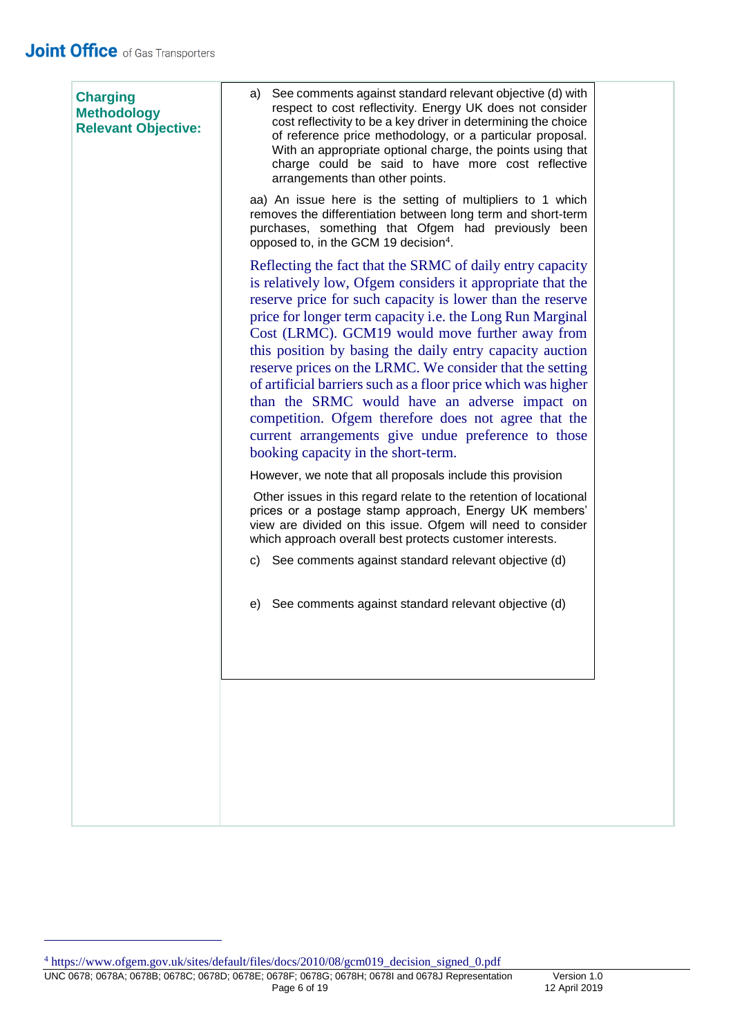| <b>Charging</b><br><b>Methodology</b><br><b>Relevant Objective:</b> | See comments against standard relevant objective (d) with<br>a)<br>respect to cost reflectivity. Energy UK does not consider<br>cost reflectivity to be a key driver in determining the choice<br>of reference price methodology, or a particular proposal.<br>With an appropriate optional charge, the points using that<br>charge could be said to have more cost reflective<br>arrangements than other points.                                                                                                                                                                                                                                                                                                                                                  |  |  |  |
|---------------------------------------------------------------------|--------------------------------------------------------------------------------------------------------------------------------------------------------------------------------------------------------------------------------------------------------------------------------------------------------------------------------------------------------------------------------------------------------------------------------------------------------------------------------------------------------------------------------------------------------------------------------------------------------------------------------------------------------------------------------------------------------------------------------------------------------------------|--|--|--|
|                                                                     | aa) An issue here is the setting of multipliers to 1 which<br>removes the differentiation between long term and short-term<br>purchases, something that Ofgem had previously been<br>opposed to, in the GCM 19 decision <sup>4</sup> .                                                                                                                                                                                                                                                                                                                                                                                                                                                                                                                             |  |  |  |
|                                                                     | Reflecting the fact that the SRMC of daily entry capacity<br>is relatively low, Ofgem considers it appropriate that the<br>reserve price for such capacity is lower than the reserve<br>price for longer term capacity i.e. the Long Run Marginal<br>Cost (LRMC). GCM19 would move further away from<br>this position by basing the daily entry capacity auction<br>reserve prices on the LRMC. We consider that the setting<br>of artificial barriers such as a floor price which was higher<br>than the SRMC would have an adverse impact on<br>competition. Ofgem therefore does not agree that the<br>current arrangements give undue preference to those<br>booking capacity in the short-term.<br>However, we note that all proposals include this provision |  |  |  |
|                                                                     | Other issues in this regard relate to the retention of locational<br>prices or a postage stamp approach, Energy UK members'<br>view are divided on this issue. Ofgem will need to consider<br>which approach overall best protects customer interests.                                                                                                                                                                                                                                                                                                                                                                                                                                                                                                             |  |  |  |
|                                                                     | c) See comments against standard relevant objective (d)                                                                                                                                                                                                                                                                                                                                                                                                                                                                                                                                                                                                                                                                                                            |  |  |  |
|                                                                     | e) See comments against standard relevant objective (d)                                                                                                                                                                                                                                                                                                                                                                                                                                                                                                                                                                                                                                                                                                            |  |  |  |
|                                                                     |                                                                                                                                                                                                                                                                                                                                                                                                                                                                                                                                                                                                                                                                                                                                                                    |  |  |  |
|                                                                     |                                                                                                                                                                                                                                                                                                                                                                                                                                                                                                                                                                                                                                                                                                                                                                    |  |  |  |
|                                                                     |                                                                                                                                                                                                                                                                                                                                                                                                                                                                                                                                                                                                                                                                                                                                                                    |  |  |  |
|                                                                     |                                                                                                                                                                                                                                                                                                                                                                                                                                                                                                                                                                                                                                                                                                                                                                    |  |  |  |

<sup>4</sup> https://www.ofgem.gov.uk/sites/default/files/docs/2010/08/gcm019\_decision\_signed\_0.pdf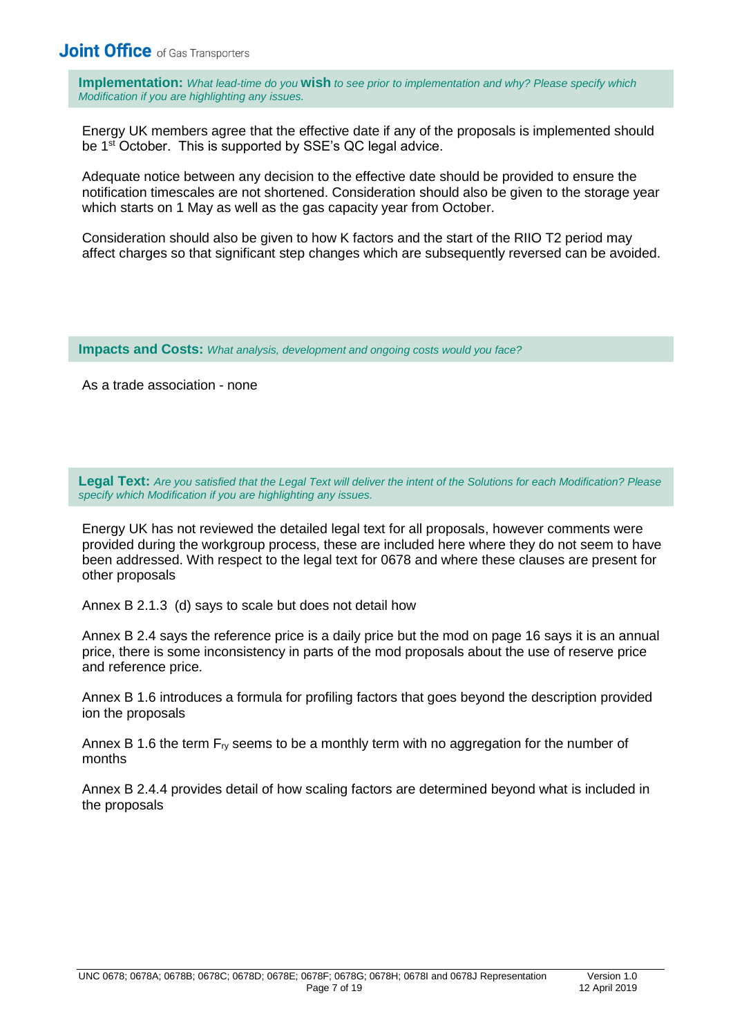**Implementation:** *What lead-time do you* **wish** *to see prior to implementation and why? Please specify which Modification if you are highlighting any issues.*

Energy UK members agree that the effective date if any of the proposals is implemented should be 1<sup>st</sup> October. This is supported by SSE's QC legal advice.

Adequate notice between any decision to the effective date should be provided to ensure the notification timescales are not shortened. Consideration should also be given to the storage year which starts on 1 May as well as the gas capacity year from October.

Consideration should also be given to how K factors and the start of the RIIO T2 period may affect charges so that significant step changes which are subsequently reversed can be avoided.

**Impacts and Costs:** *What analysis, development and ongoing costs would you face?*

As a trade association - none

**Legal Text:** *Are you satisfied that the Legal Text will deliver the intent of the Solutions for each Modification? Please specify which Modification if you are highlighting any issues.*

Energy UK has not reviewed the detailed legal text for all proposals, however comments were provided during the workgroup process, these are included here where they do not seem to have been addressed. With respect to the legal text for 0678 and where these clauses are present for other proposals

Annex B 2.1.3 (d) says to scale but does not detail how

Annex B 2.4 says the reference price is a daily price but the mod on page 16 says it is an annual price, there is some inconsistency in parts of the mod proposals about the use of reserve price and reference price.

Annex B 1.6 introduces a formula for profiling factors that goes beyond the description provided ion the proposals

Annex B 1.6 the term  $F_N$  seems to be a monthly term with no aggregation for the number of months

Annex B 2.4.4 provides detail of how scaling factors are determined beyond what is included in the proposals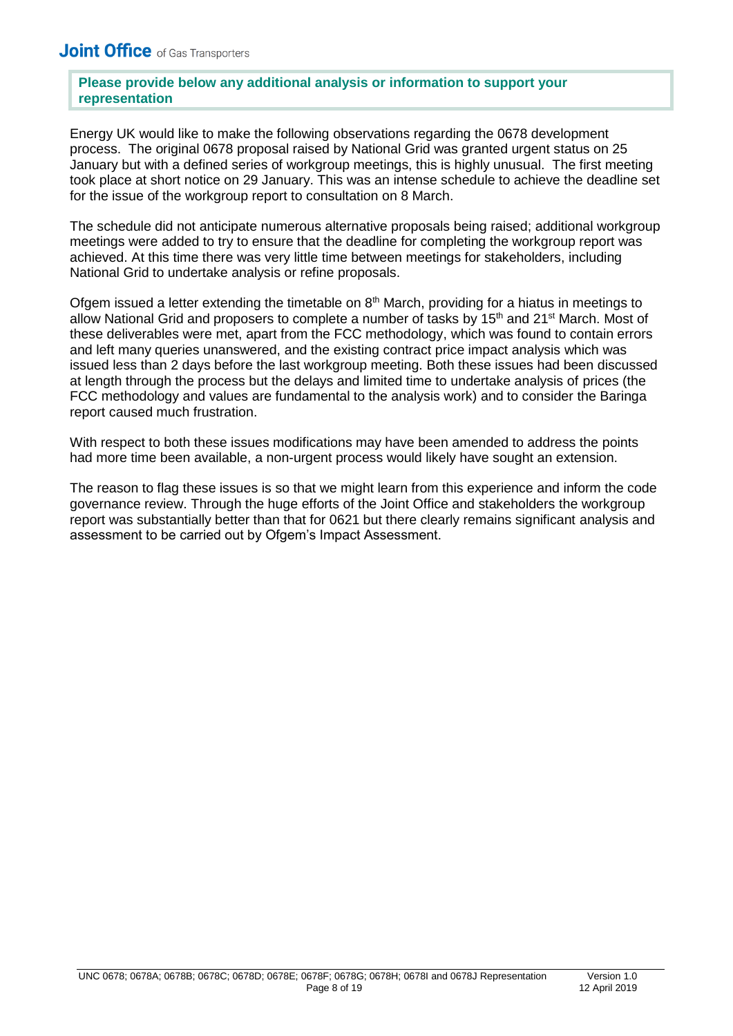#### **Please provide below any additional analysis or information to support your representation**

Energy UK would like to make the following observations regarding the 0678 development process. The original 0678 proposal raised by National Grid was granted urgent status on 25 January but with a defined series of workgroup meetings, this is highly unusual. The first meeting took place at short notice on 29 January. This was an intense schedule to achieve the deadline set for the issue of the workgroup report to consultation on 8 March.

The schedule did not anticipate numerous alternative proposals being raised; additional workgroup meetings were added to try to ensure that the deadline for completing the workgroup report was achieved. At this time there was very little time between meetings for stakeholders, including National Grid to undertake analysis or refine proposals.

Ofgem issued a letter extending the timetable on  $8<sup>th</sup>$  March, providing for a hiatus in meetings to allow National Grid and proposers to complete a number of tasks by 15<sup>th</sup> and 21<sup>st</sup> March. Most of these deliverables were met, apart from the FCC methodology, which was found to contain errors and left many queries unanswered, and the existing contract price impact analysis which was issued less than 2 days before the last workgroup meeting. Both these issues had been discussed at length through the process but the delays and limited time to undertake analysis of prices (the FCC methodology and values are fundamental to the analysis work) and to consider the Baringa report caused much frustration.

With respect to both these issues modifications may have been amended to address the points had more time been available, a non-urgent process would likely have sought an extension.

The reason to flag these issues is so that we might learn from this experience and inform the code governance review. Through the huge efforts of the Joint Office and stakeholders the workgroup report was substantially better than that for 0621 but there clearly remains significant analysis and assessment to be carried out by Ofgem's Impact Assessment.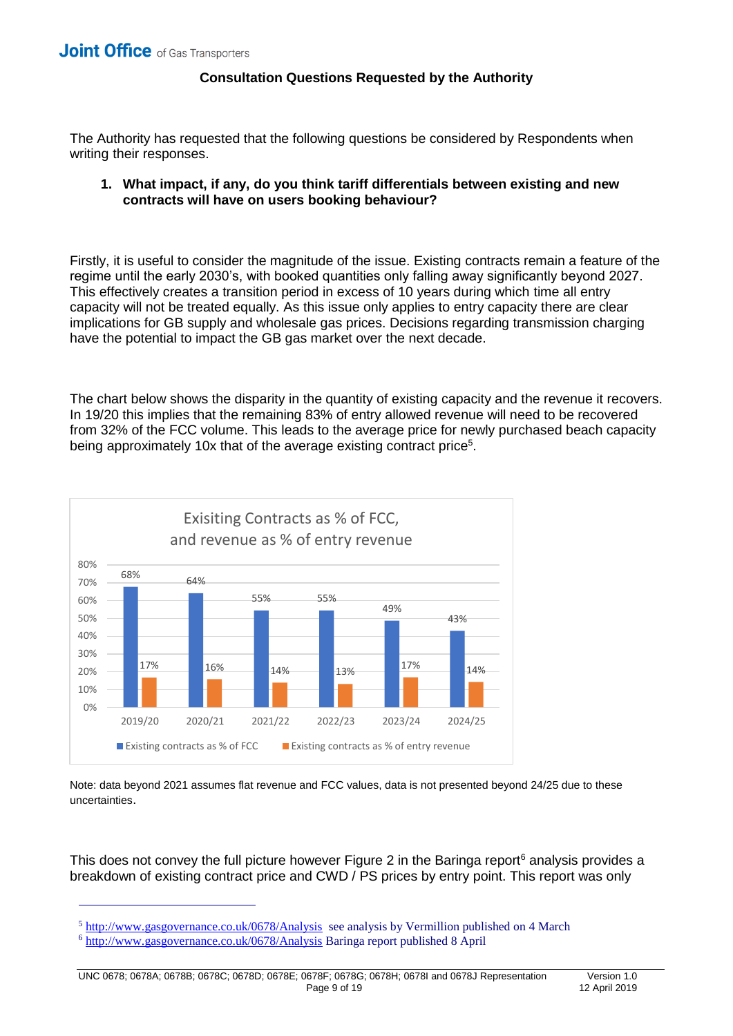#### **Consultation Questions Requested by the Authority**

The Authority has requested that the following questions be considered by Respondents when writing their responses.

#### **1. What impact, if any, do you think tariff differentials between existing and new contracts will have on users booking behaviour?**

Firstly, it is useful to consider the magnitude of the issue. Existing contracts remain a feature of the regime until the early 2030's, with booked quantities only falling away significantly beyond 2027. This effectively creates a transition period in excess of 10 years during which time all entry capacity will not be treated equally. As this issue only applies to entry capacity there are clear implications for GB supply and wholesale gas prices. Decisions regarding transmission charging have the potential to impact the GB gas market over the next decade.

The chart below shows the disparity in the quantity of existing capacity and the revenue it recovers. In 19/20 this implies that the remaining 83% of entry allowed revenue will need to be recovered from 32% of the FCC volume. This leads to the average price for newly purchased beach capacity being approximately 10x that of the average existing contract price<sup>5</sup>.



Note: data beyond 2021 assumes flat revenue and FCC values, data is not presented beyond 24/25 due to these uncertainties.

This does not convey the full picture however Figure 2 in the Baringa report<sup>6</sup> analysis provides a breakdown of existing contract price and CWD / PS prices by entry point. This report was only

 $\overline{1}$ 

 $5 \frac{\text{http://www.gasgovernance.co.uk/0678/Analysis}}{\text{http://www.gasgovernance.co.uk/0678/Analysis}}$  see analysis by Vermillion published on 4 March

<sup>6</sup> <http://www.gasgovernance.co.uk/0678/Analysis> Baringa report published 8 April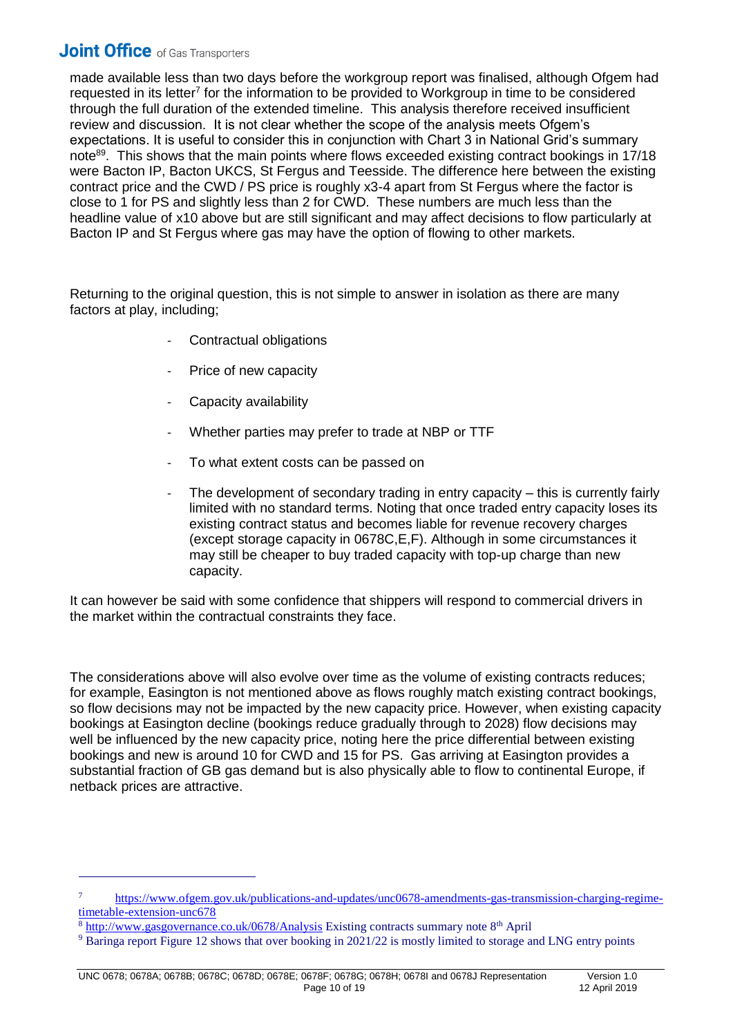made available less than two days before the workgroup report was finalised, although Ofgem had requested in its letter<sup>7</sup> for the information to be provided to Workgroup in time to be considered through the full duration of the extended timeline. This analysis therefore received insufficient review and discussion. It is not clear whether the scope of the analysis meets Ofgem's expectations. It is useful to consider this in conjunction with Chart 3 in National Grid's summary note<sup>89</sup>. This shows that the main points where flows exceeded existing contract bookings in 17/18 were Bacton IP, Bacton UKCS, St Fergus and Teesside. The difference here between the existing contract price and the CWD / PS price is roughly x3-4 apart from St Fergus where the factor is close to 1 for PS and slightly less than 2 for CWD. These numbers are much less than the headline value of x10 above but are still significant and may affect decisions to flow particularly at Bacton IP and St Fergus where gas may have the option of flowing to other markets.

Returning to the original question, this is not simple to answer in isolation as there are many factors at play, including;

- Contractual obligations
- Price of new capacity
- Capacity availability
- Whether parties may prefer to trade at NBP or TTF
- To what extent costs can be passed on
- The development of secondary trading in entry capacity  $-$  this is currently fairly limited with no standard terms. Noting that once traded entry capacity loses its existing contract status and becomes liable for revenue recovery charges (except storage capacity in 0678C,E,F). Although in some circumstances it may still be cheaper to buy traded capacity with top-up charge than new capacity.

It can however be said with some confidence that shippers will respond to commercial drivers in the market within the contractual constraints they face.

The considerations above will also evolve over time as the volume of existing contracts reduces; for example, Easington is not mentioned above as flows roughly match existing contract bookings, so flow decisions may not be impacted by the new capacity price. However, when existing capacity bookings at Easington decline (bookings reduce gradually through to 2028) flow decisions may well be influenced by the new capacity price, noting here the price differential between existing bookings and new is around 10 for CWD and 15 for PS. Gas arriving at Easington provides a substantial fraction of GB gas demand but is also physically able to flow to continental Europe, if netback prices are attractive.

 $\overline{1}$ 

<sup>7</sup> [https://www.ofgem.gov.uk/publications-and-updates/unc0678-amendments-gas-transmission-charging-regime](https://www.ofgem.gov.uk/publications-and-updates/unc0678-amendments-gas-transmission-charging-regime-timetable-extension-unc678)[timetable-extension-unc678](https://www.ofgem.gov.uk/publications-and-updates/unc0678-amendments-gas-transmission-charging-regime-timetable-extension-unc678)

<sup>&</sup>lt;sup>8</sup> <http://www.gasgovernance.co.uk/0678/Analysis> Existing contracts summary note 8<sup>th</sup> April

<sup>&</sup>lt;sup>9</sup> Baringa report Figure 12 shows that over booking in 2021/22 is mostly limited to storage and LNG entry points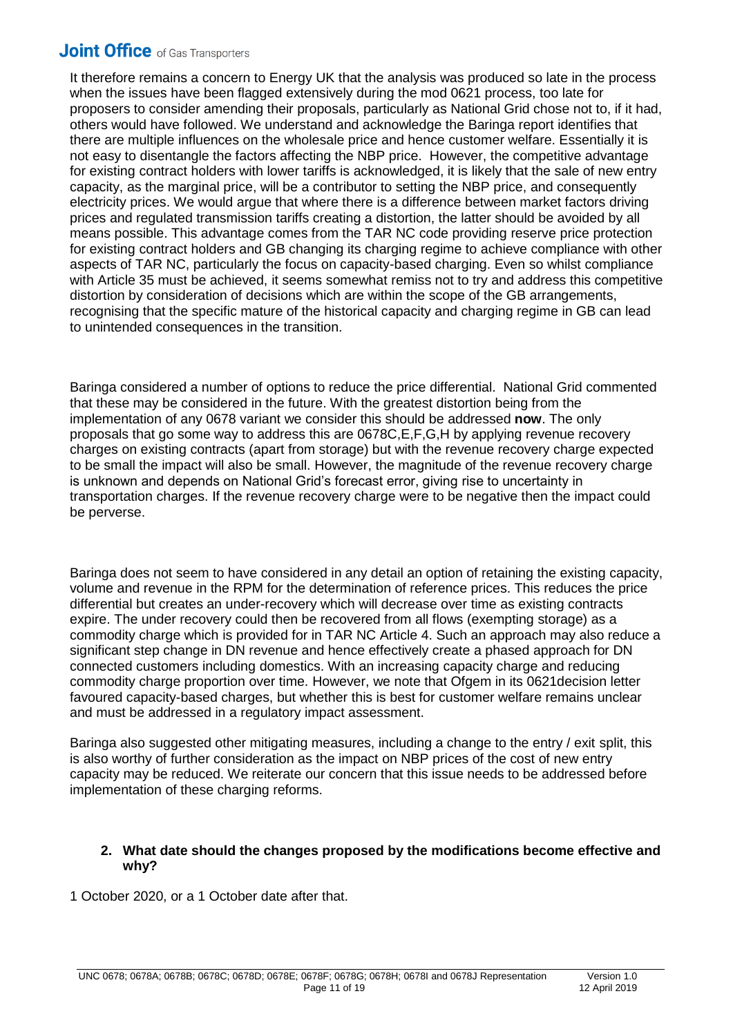It therefore remains a concern to Energy UK that the analysis was produced so late in the process when the issues have been flagged extensively during the mod 0621 process, too late for proposers to consider amending their proposals, particularly as National Grid chose not to, if it had, others would have followed. We understand and acknowledge the Baringa report identifies that there are multiple influences on the wholesale price and hence customer welfare. Essentially it is not easy to disentangle the factors affecting the NBP price. However, the competitive advantage for existing contract holders with lower tariffs is acknowledged, it is likely that the sale of new entry capacity, as the marginal price, will be a contributor to setting the NBP price, and consequently electricity prices. We would argue that where there is a difference between market factors driving prices and regulated transmission tariffs creating a distortion, the latter should be avoided by all means possible. This advantage comes from the TAR NC code providing reserve price protection for existing contract holders and GB changing its charging regime to achieve compliance with other aspects of TAR NC, particularly the focus on capacity-based charging. Even so whilst compliance with Article 35 must be achieved, it seems somewhat remiss not to try and address this competitive distortion by consideration of decisions which are within the scope of the GB arrangements, recognising that the specific mature of the historical capacity and charging regime in GB can lead to unintended consequences in the transition.

Baringa considered a number of options to reduce the price differential. National Grid commented that these may be considered in the future. With the greatest distortion being from the implementation of any 0678 variant we consider this should be addressed **now**. The only proposals that go some way to address this are 0678C,E,F,G,H by applying revenue recovery charges on existing contracts (apart from storage) but with the revenue recovery charge expected to be small the impact will also be small. However, the magnitude of the revenue recovery charge is unknown and depends on National Grid's forecast error, giving rise to uncertainty in transportation charges. If the revenue recovery charge were to be negative then the impact could be perverse.

Baringa does not seem to have considered in any detail an option of retaining the existing capacity, volume and revenue in the RPM for the determination of reference prices. This reduces the price differential but creates an under-recovery which will decrease over time as existing contracts expire. The under recovery could then be recovered from all flows (exempting storage) as a commodity charge which is provided for in TAR NC Article 4. Such an approach may also reduce a significant step change in DN revenue and hence effectively create a phased approach for DN connected customers including domestics. With an increasing capacity charge and reducing commodity charge proportion over time. However, we note that Ofgem in its 0621decision letter favoured capacity-based charges, but whether this is best for customer welfare remains unclear and must be addressed in a regulatory impact assessment.

Baringa also suggested other mitigating measures, including a change to the entry / exit split, this is also worthy of further consideration as the impact on NBP prices of the cost of new entry capacity may be reduced. We reiterate our concern that this issue needs to be addressed before implementation of these charging reforms.

#### **2. What date should the changes proposed by the modifications become effective and why?**

1 October 2020, or a 1 October date after that.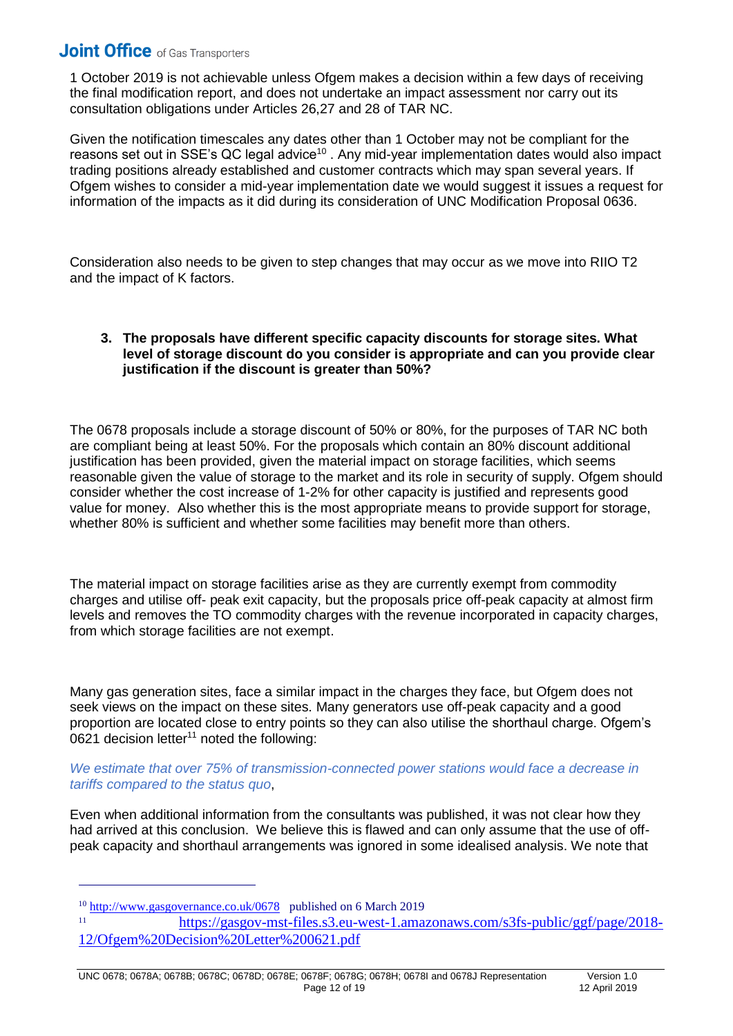1 October 2019 is not achievable unless Ofgem makes a decision within a few days of receiving the final modification report, and does not undertake an impact assessment nor carry out its consultation obligations under Articles 26,27 and 28 of TAR NC.

Given the notification timescales any dates other than 1 October may not be compliant for the reasons set out in SSE's QC legal advice<sup>10</sup>. Any mid-year implementation dates would also impact trading positions already established and customer contracts which may span several years. If Ofgem wishes to consider a mid-year implementation date we would suggest it issues a request for information of the impacts as it did during its consideration of UNC Modification Proposal 0636.

Consideration also needs to be given to step changes that may occur as we move into RIIO T2 and the impact of K factors.

#### **3. The proposals have different specific capacity discounts for storage sites. What level of storage discount do you consider is appropriate and can you provide clear justification if the discount is greater than 50%?**

The 0678 proposals include a storage discount of 50% or 80%, for the purposes of TAR NC both are compliant being at least 50%. For the proposals which contain an 80% discount additional justification has been provided, given the material impact on storage facilities, which seems reasonable given the value of storage to the market and its role in security of supply. Ofgem should consider whether the cost increase of 1-2% for other capacity is justified and represents good value for money. Also whether this is the most appropriate means to provide support for storage, whether 80% is sufficient and whether some facilities may benefit more than others.

The material impact on storage facilities arise as they are currently exempt from commodity charges and utilise off- peak exit capacity, but the proposals price off-peak capacity at almost firm levels and removes the TO commodity charges with the revenue incorporated in capacity charges, from which storage facilities are not exempt.

Many gas generation sites, face a similar impact in the charges they face, but Ofgem does not seek views on the impact on these sites. Many generators use off-peak capacity and a good proportion are located close to entry points so they can also utilise the shorthaul charge. Ofgem's 0621 decision letter<sup>11</sup> noted the following:

*We estimate that over 75% of transmission-connected power stations would face a decrease in tariffs compared to the status quo*,

Even when additional information from the consultants was published, it was not clear how they had arrived at this conclusion. We believe this is flawed and can only assume that the use of offpeak capacity and shorthaul arrangements was ignored in some idealised analysis. We note that

 $\overline{a}$ 

 $\frac{10 \text{ http://www.gasgovernance.co.uk/0678}}{11 \text{ http://www.gasgovernance.co.uk/0678}}$  published on 6 March 2019

<sup>11</sup> [https://gasgov-mst-files.s3.eu-west-1.amazonaws.com/s3fs-public/ggf/page/2018-](https://gasgov-mst-files.s3.eu-west-1.amazonaws.com/s3fs-public/ggf/page/2018-12/Ofgem%20Decision%20Letter%200621.pdf) [12/Ofgem%20Decision%20Letter%200621.pdf](https://gasgov-mst-files.s3.eu-west-1.amazonaws.com/s3fs-public/ggf/page/2018-12/Ofgem%20Decision%20Letter%200621.pdf)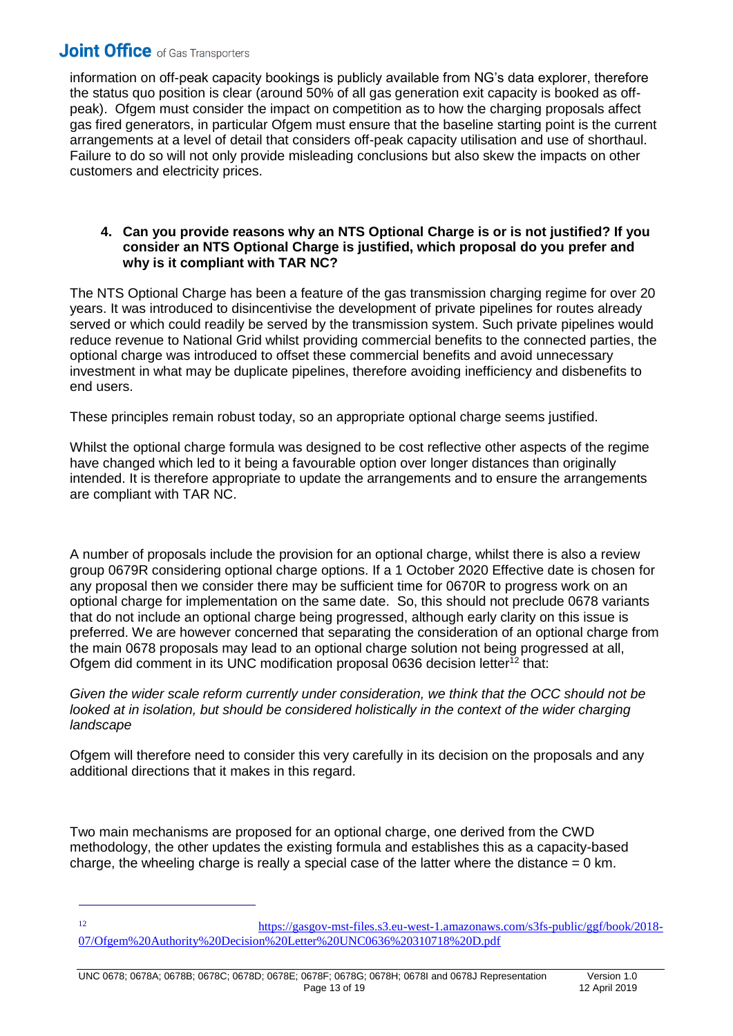$\overline{1}$ 

information on off-peak capacity bookings is publicly available from NG's data explorer, therefore the status quo position is clear (around 50% of all gas generation exit capacity is booked as offpeak). Ofgem must consider the impact on competition as to how the charging proposals affect gas fired generators, in particular Ofgem must ensure that the baseline starting point is the current arrangements at a level of detail that considers off-peak capacity utilisation and use of shorthaul. Failure to do so will not only provide misleading conclusions but also skew the impacts on other customers and electricity prices.

#### **4. Can you provide reasons why an NTS Optional Charge is or is not justified? If you consider an NTS Optional Charge is justified, which proposal do you prefer and why is it compliant with TAR NC?**

The NTS Optional Charge has been a feature of the gas transmission charging regime for over 20 years. It was introduced to disincentivise the development of private pipelines for routes already served or which could readily be served by the transmission system. Such private pipelines would reduce revenue to National Grid whilst providing commercial benefits to the connected parties, the optional charge was introduced to offset these commercial benefits and avoid unnecessary investment in what may be duplicate pipelines, therefore avoiding inefficiency and disbenefits to end users.

These principles remain robust today, so an appropriate optional charge seems justified.

Whilst the optional charge formula was designed to be cost reflective other aspects of the regime have changed which led to it being a favourable option over longer distances than originally intended. It is therefore appropriate to update the arrangements and to ensure the arrangements are compliant with TAR NC.

A number of proposals include the provision for an optional charge, whilst there is also a review group 0679R considering optional charge options. If a 1 October 2020 Effective date is chosen for any proposal then we consider there may be sufficient time for 0670R to progress work on an optional charge for implementation on the same date. So, this should not preclude 0678 variants that do not include an optional charge being progressed, although early clarity on this issue is preferred. We are however concerned that separating the consideration of an optional charge from the main 0678 proposals may lead to an optional charge solution not being progressed at all, Ofgem did comment in its UNC modification proposal 0636 decision letter<sup>12</sup> that:

*Given the wider scale reform currently under consideration, we think that the OCC should not be*  looked at in isolation, but should be considered holistically in the context of the wider charging *landscape*

Ofgem will therefore need to consider this very carefully in its decision on the proposals and any additional directions that it makes in this regard.

Two main mechanisms are proposed for an optional charge, one derived from the CWD methodology, the other updates the existing formula and establishes this as a capacity-based charge, the wheeling charge is really a special case of the latter where the distance  $= 0 \text{ km}$ .

<sup>12</sup> [https://gasgov-mst-files.s3.eu-west-1.amazonaws.com/s3fs-public/ggf/book/2018-](https://gasgov-mst-files.s3.eu-west-1.amazonaws.com/s3fs-public/ggf/book/2018-07/Ofgem%20Authority%20Decision%20Letter%20UNC0636%20310718%20D.pdf) [07/Ofgem%20Authority%20Decision%20Letter%20UNC0636%20310718%20D.pdf](https://gasgov-mst-files.s3.eu-west-1.amazonaws.com/s3fs-public/ggf/book/2018-07/Ofgem%20Authority%20Decision%20Letter%20UNC0636%20310718%20D.pdf)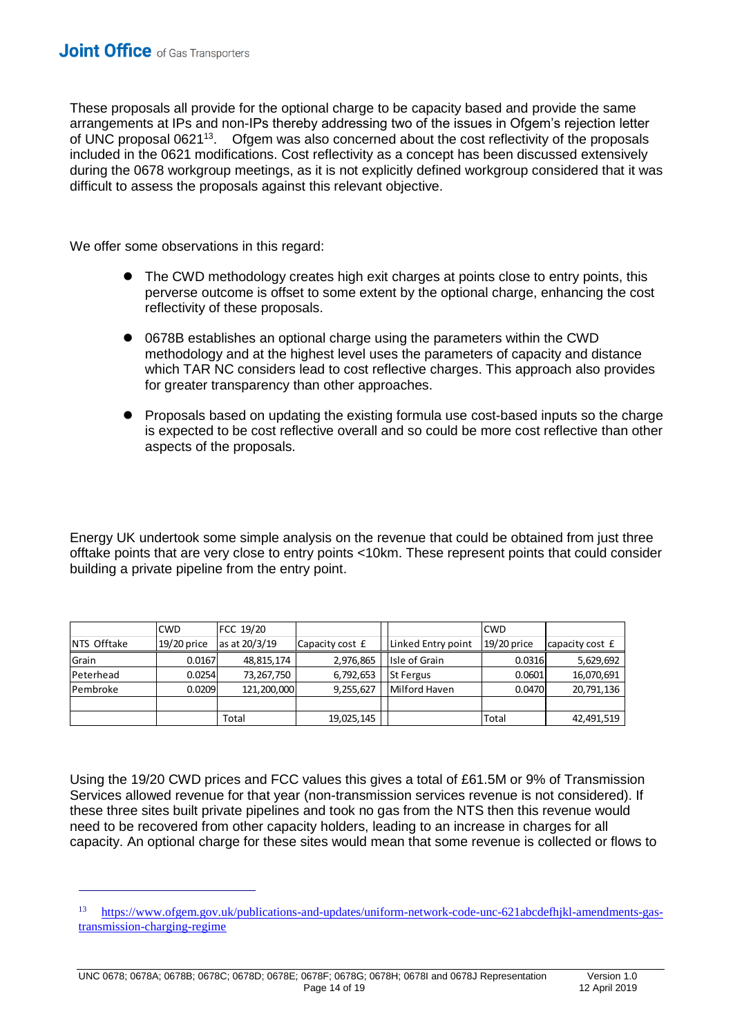$\overline{a}$ 

These proposals all provide for the optional charge to be capacity based and provide the same arrangements at IPs and non-IPs thereby addressing two of the issues in Ofgem's rejection letter of UNC proposal 0621<sup>13</sup>. Ofgem was also concerned about the cost reflectivity of the proposals included in the 0621 modifications. Cost reflectivity as a concept has been discussed extensively during the 0678 workgroup meetings, as it is not explicitly defined workgroup considered that it was difficult to assess the proposals against this relevant objective.

We offer some observations in this regard:

- The CWD methodology creates high exit charges at points close to entry points, this perverse outcome is offset to some extent by the optional charge, enhancing the cost reflectivity of these proposals.
- ⚫ 0678B establishes an optional charge using the parameters within the CWD methodology and at the highest level uses the parameters of capacity and distance which TAR NC considers lead to cost reflective charges. This approach also provides for greater transparency than other approaches.
- ⚫ Proposals based on updating the existing formula use cost-based inputs so the charge is expected to be cost reflective overall and so could be more cost reflective than other aspects of the proposals.

Energy UK undertook some simple analysis on the revenue that could be obtained from just three offtake points that are very close to entry points <10km. These represent points that could consider building a private pipeline from the entry point.

|                    | <b>CWD</b>  | FCC 19/20     |                 |                    | <b>CWD</b>    |                 |
|--------------------|-------------|---------------|-----------------|--------------------|---------------|-----------------|
| <b>NTS Offtake</b> | 19/20 price | as at 20/3/19 | Capacity cost £ | Linked Entry point | $19/20$ price | capacity cost £ |
| Grain              | 0.0167      | 48,815,174    | 2,976,865       | Isle of Grain      | 0.0316        | 5,629,692       |
| Peterhead          | 0.0254      | 73,267,750    | 6,792,653       | <b>St Fergus</b>   | 0.0601        | 16,070,691      |
| Pembroke           | 0.0209      | 121,200,000   | 9,255,627       | Milford Haven      | 0.0470        | 20,791,136      |
|                    |             |               |                 |                    |               |                 |
|                    |             | Total         | 19,025,145      |                    | Total         | 42,491,519      |

Using the 19/20 CWD prices and FCC values this gives a total of £61.5M or 9% of Transmission Services allowed revenue for that year (non-transmission services revenue is not considered). If these three sites built private pipelines and took no gas from the NTS then this revenue would need to be recovered from other capacity holders, leading to an increase in charges for all capacity. An optional charge for these sites would mean that some revenue is collected or flows to

<sup>13</sup> [https://www.ofgem.gov.uk/publications-and-updates/uniform-network-code-unc-621abcdefhjkl-amendments-gas](https://www.ofgem.gov.uk/publications-and-updates/uniform-network-code-unc-621abcdefhjkl-amendments-gas-transmission-charging-regime)[transmission-charging-regime](https://www.ofgem.gov.uk/publications-and-updates/uniform-network-code-unc-621abcdefhjkl-amendments-gas-transmission-charging-regime)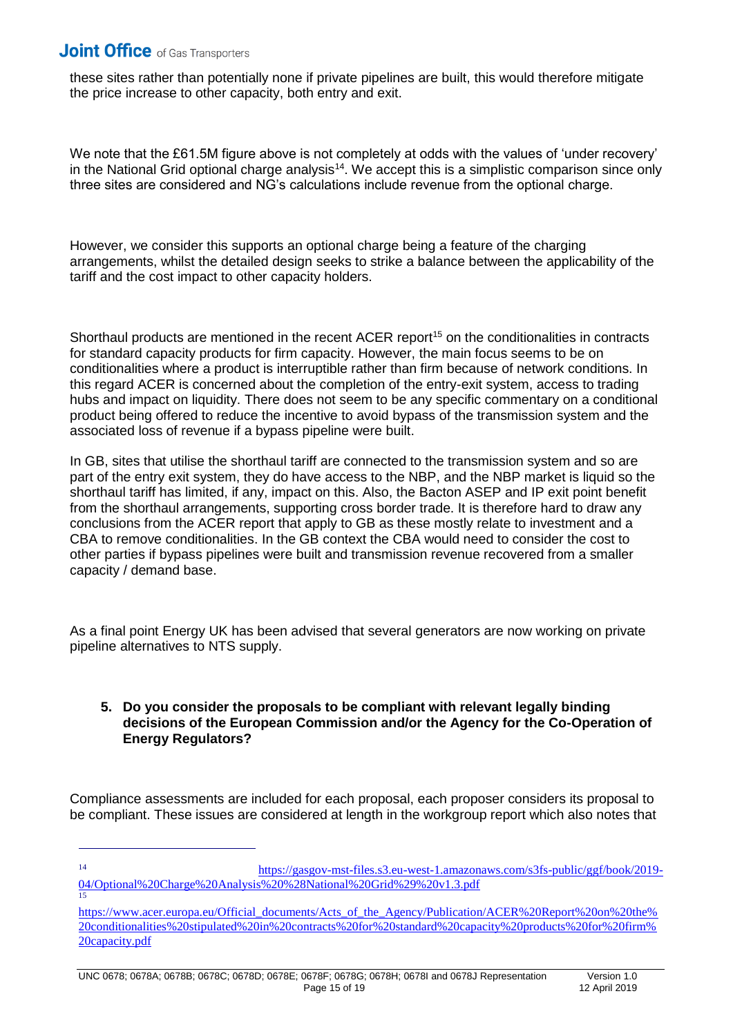$\overline{1}$ 

15

these sites rather than potentially none if private pipelines are built, this would therefore mitigate the price increase to other capacity, both entry and exit.

We note that the £61.5M figure above is not completely at odds with the values of 'under recovery' in the National Grid optional charge analysis<sup>14</sup>. We accept this is a simplistic comparison since only three sites are considered and NG's calculations include revenue from the optional charge.

However, we consider this supports an optional charge being a feature of the charging arrangements, whilst the detailed design seeks to strike a balance between the applicability of the tariff and the cost impact to other capacity holders.

Shorthaul products are mentioned in the recent ACER report<sup>15</sup> on the conditionalities in contracts for standard capacity products for firm capacity. However, the main focus seems to be on conditionalities where a product is interruptible rather than firm because of network conditions. In this regard ACER is concerned about the completion of the entry-exit system, access to trading hubs and impact on liquidity. There does not seem to be any specific commentary on a conditional product being offered to reduce the incentive to avoid bypass of the transmission system and the associated loss of revenue if a bypass pipeline were built.

In GB, sites that utilise the shorthaul tariff are connected to the transmission system and so are part of the entry exit system, they do have access to the NBP, and the NBP market is liquid so the shorthaul tariff has limited, if any, impact on this. Also, the Bacton ASEP and IP exit point benefit from the shorthaul arrangements, supporting cross border trade. It is therefore hard to draw any conclusions from the ACER report that apply to GB as these mostly relate to investment and a CBA to remove conditionalities. In the GB context the CBA would need to consider the cost to other parties if bypass pipelines were built and transmission revenue recovered from a smaller capacity / demand base.

As a final point Energy UK has been advised that several generators are now working on private pipeline alternatives to NTS supply.

#### **5. Do you consider the proposals to be compliant with relevant legally binding decisions of the European Commission and/or the Agency for the Co-Operation of Energy Regulators?**

Compliance assessments are included for each proposal, each proposer considers its proposal to be compliant. These issues are considered at length in the workgroup report which also notes that

<sup>14</sup> [https://gasgov-mst-files.s3.eu-west-1.amazonaws.com/s3fs-public/ggf/book/2019-](https://gasgov-mst-files.s3.eu-west-1.amazonaws.com/s3fs-public/ggf/book/2019-04/Optional%20Charge%20Analysis%20%28National%20Grid%29%20v1.3.pdf) [04/Optional%20Charge%20Analysis%20%28National%20Grid%29%20v1.3.pdf](https://gasgov-mst-files.s3.eu-west-1.amazonaws.com/s3fs-public/ggf/book/2019-04/Optional%20Charge%20Analysis%20%28National%20Grid%29%20v1.3.pdf)

[https://www.acer.europa.eu/Official\\_documents/Acts\\_of\\_the\\_Agency/Publication/ACER%20Report%20on%20the%](https://www.acer.europa.eu/Official_documents/Acts_of_the_Agency/Publication/ACER%20Report%20on%20the%20conditionalities%20stipulated%20in%20contracts%20for%20standard%20capacity%20products%20for%20firm%20capacity.pdf) [20conditionalities%20stipulated%20in%20contracts%20for%20standard%20capacity%20products%20for%20firm%](https://www.acer.europa.eu/Official_documents/Acts_of_the_Agency/Publication/ACER%20Report%20on%20the%20conditionalities%20stipulated%20in%20contracts%20for%20standard%20capacity%20products%20for%20firm%20capacity.pdf) [20capacity.pdf](https://www.acer.europa.eu/Official_documents/Acts_of_the_Agency/Publication/ACER%20Report%20on%20the%20conditionalities%20stipulated%20in%20contracts%20for%20standard%20capacity%20products%20for%20firm%20capacity.pdf)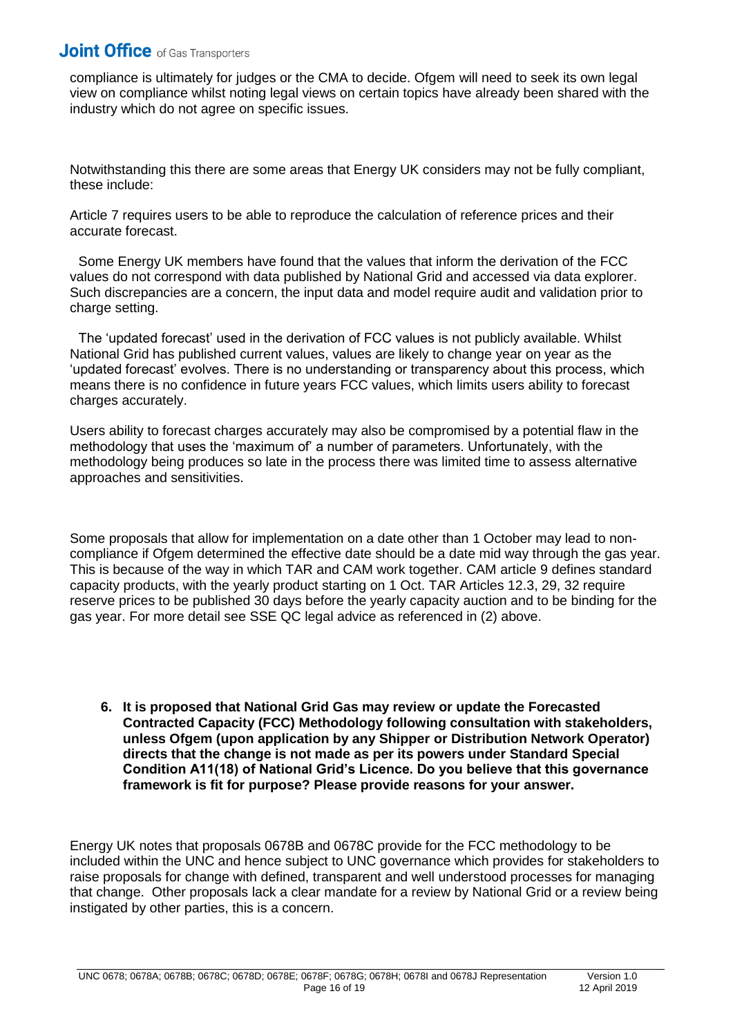compliance is ultimately for judges or the CMA to decide. Ofgem will need to seek its own legal view on compliance whilst noting legal views on certain topics have already been shared with the industry which do not agree on specific issues.

Notwithstanding this there are some areas that Energy UK considers may not be fully compliant, these include:

Article 7 requires users to be able to reproduce the calculation of reference prices and their accurate forecast.

Some Energy UK members have found that the values that inform the derivation of the FCC values do not correspond with data published by National Grid and accessed via data explorer. Such discrepancies are a concern, the input data and model require audit and validation prior to charge setting.

The 'updated forecast' used in the derivation of FCC values is not publicly available. Whilst National Grid has published current values, values are likely to change year on year as the 'updated forecast' evolves. There is no understanding or transparency about this process, which means there is no confidence in future years FCC values, which limits users ability to forecast charges accurately.

Users ability to forecast charges accurately may also be compromised by a potential flaw in the methodology that uses the 'maximum of' a number of parameters. Unfortunately, with the methodology being produces so late in the process there was limited time to assess alternative approaches and sensitivities.

Some proposals that allow for implementation on a date other than 1 October may lead to noncompliance if Ofgem determined the effective date should be a date mid way through the gas year. This is because of the way in which TAR and CAM work together. CAM article 9 defines standard capacity products, with the yearly product starting on 1 Oct. TAR Articles 12.3, 29, 32 require reserve prices to be published 30 days before the yearly capacity auction and to be binding for the gas year. For more detail see SSE QC legal advice as referenced in (2) above.

**6. It is proposed that National Grid Gas may review or update the Forecasted Contracted Capacity (FCC) Methodology following consultation with stakeholders, unless Ofgem (upon application by any Shipper or Distribution Network Operator) directs that the change is not made as per its powers under Standard Special Condition A11(18) of National Grid's Licence. Do you believe that this governance framework is fit for purpose? Please provide reasons for your answer.**

Energy UK notes that proposals 0678B and 0678C provide for the FCC methodology to be included within the UNC and hence subject to UNC governance which provides for stakeholders to raise proposals for change with defined, transparent and well understood processes for managing that change. Other proposals lack a clear mandate for a review by National Grid or a review being instigated by other parties, this is a concern.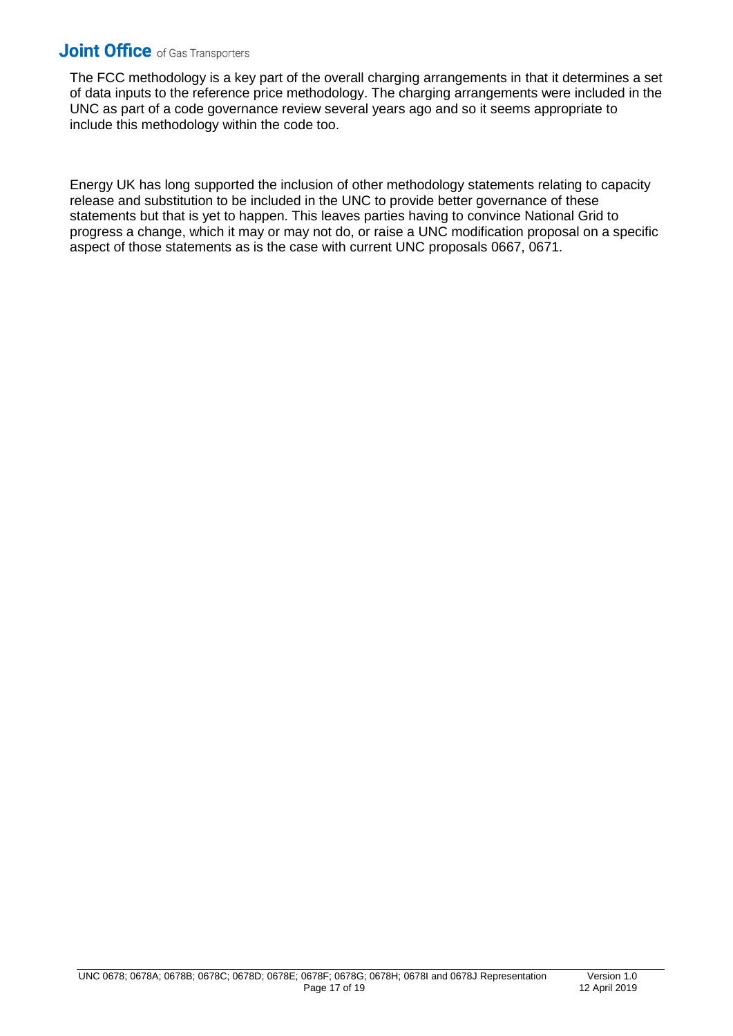The FCC methodology is a key part of the overall charging arrangements in that it determines a set of data inputs to the reference price methodology. The charging arrangements were included in the UNC as part of a code governance review several years ago and so it seems appropriate to include this methodology within the code too.

Energy UK has long supported the inclusion of other methodology statements relating to capacity release and substitution to be included in the UNC to provide better governance of these statements but that is yet to happen. This leaves parties having to convince National Grid to progress a change, which it may or may not do, or raise a UNC modification proposal on a specific aspect of those statements as is the case with current UNC proposals 0667, 0671.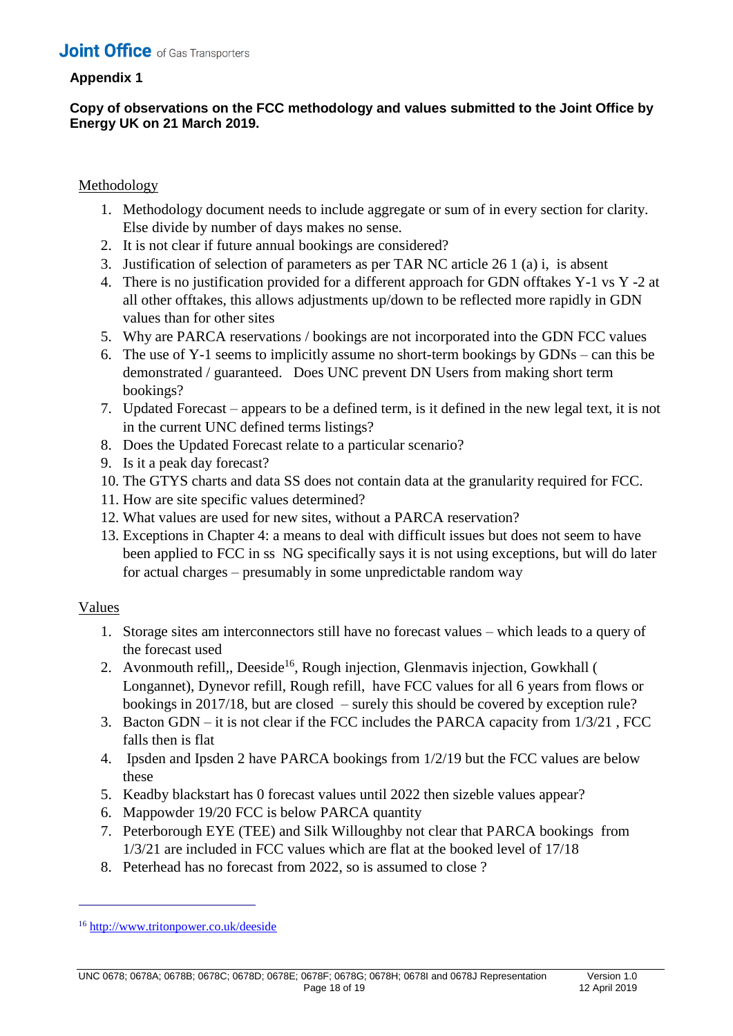### **Appendix 1**

### **Copy of observations on the FCC methodology and values submitted to the Joint Office by Energy UK on 21 March 2019.**

### Methodology

- 1. Methodology document needs to include aggregate or sum of in every section for clarity. Else divide by number of days makes no sense.
- 2. It is not clear if future annual bookings are considered?
- 3. Justification of selection of parameters as per TAR NC article 26 1 (a) i, is absent
- 4. There is no justification provided for a different approach for GDN offtakes Y-1 vs Y -2 at all other offtakes, this allows adjustments up/down to be reflected more rapidly in GDN values than for other sites
- 5. Why are PARCA reservations / bookings are not incorporated into the GDN FCC values
- 6. The use of Y-1 seems to implicitly assume no short-term bookings by GDNs can this be demonstrated / guaranteed. Does UNC prevent DN Users from making short term bookings?
- 7. Updated Forecast appears to be a defined term, is it defined in the new legal text, it is not in the current UNC defined terms listings?
- 8. Does the Updated Forecast relate to a particular scenario?
- 9. Is it a peak day forecast?
- 10. The GTYS charts and data SS does not contain data at the granularity required for FCC.
- 11. How are site specific values determined?
- 12. What values are used for new sites, without a PARCA reservation?
- 13. Exceptions in Chapter 4: a means to deal with difficult issues but does not seem to have been applied to FCC in ss NG specifically says it is not using exceptions, but will do later for actual charges – presumably in some unpredictable random way

### Values

 $\overline{1}$ 

- 1. Storage sites am interconnectors still have no forecast values which leads to a query of the forecast used
- 2. Avonmouth refill,, Deeside<sup>16</sup>, Rough injection, Glenmavis injection, Gowkhall ( Longannet), Dynevor refill, Rough refill, have FCC values for all 6 years from flows or bookings in 2017/18, but are closed – surely this should be covered by exception rule?
- 3. Bacton GDN it is not clear if the FCC includes the PARCA capacity from 1/3/21 , FCC falls then is flat
- 4. Ipsden and Ipsden 2 have PARCA bookings from 1/2/19 but the FCC values are below these
- 5. Keadby blackstart has 0 forecast values until 2022 then sizeble values appear?
- 6. Mappowder 19/20 FCC is below PARCA quantity
- 7. Peterborough EYE (TEE) and Silk Willoughby not clear that PARCA bookings from 1/3/21 are included in FCC values which are flat at the booked level of 17/18
- 8. Peterhead has no forecast from 2022, so is assumed to close ?

<sup>16</sup> <http://www.tritonpower.co.uk/deeside>